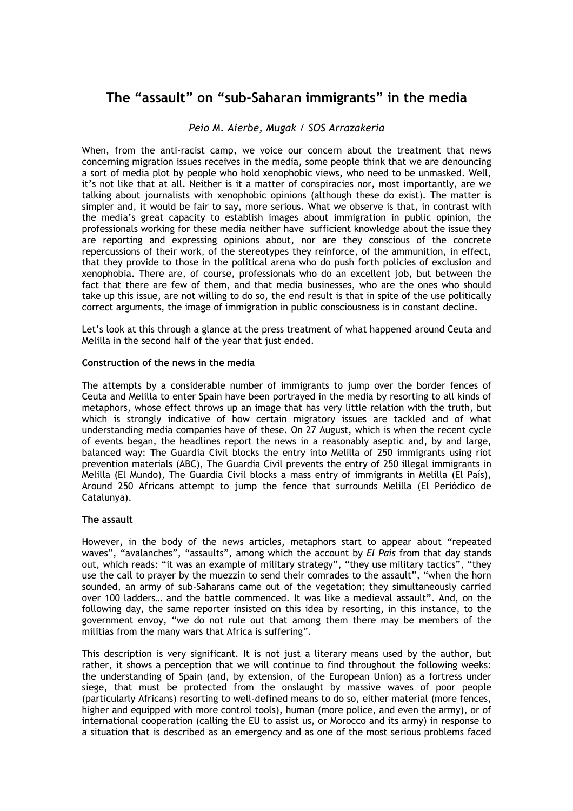# **The "assault" on "sub-Saharan immigrants" in the media**

### *Peio M. Aierbe, Mugak / SOS Arrazakeria*

When, from the anti-racist camp, we voice our concern about the treatment that news concerning migration issues receives in the media, some people think that we are denouncing a sort of media plot by people who hold xenophobic views, who need to be unmasked. Well, it's not like that at all. Neither is it a matter of conspiracies nor, most importantly, are we talking about journalists with xenophobic opinions (although these do exist). The matter is simpler and, it would be fair to say, more serious. What we observe is that, in contrast with the media's great capacity to establish images about immigration in public opinion, the professionals working for these media neither have sufficient knowledge about the issue they are reporting and expressing opinions about, nor are they conscious of the concrete repercussions of their work, of the stereotypes they reinforce, of the ammunition, in effect, that they provide to those in the political arena who do push forth policies of exclusion and xenophobia. There are, of course, professionals who do an excellent job, but between the fact that there are few of them, and that media businesses, who are the ones who should take up this issue, are not willing to do so, the end result is that in spite of the use politically correct arguments, the image of immigration in public consciousness is in constant decline.

Let's look at this through a glance at the press treatment of what happened around Ceuta and Melilla in the second half of the year that just ended.

#### **Construction of the news in the media**

The attempts by a considerable number of immigrants to jump over the border fences of Ceuta and Melilla to enter Spain have been portrayed in the media by resorting to all kinds of metaphors, whose effect throws up an image that has very little relation with the truth, but which is strongly indicative of how certain migratory issues are tackled and of what understanding media companies have of these. On 27 August, which is when the recent cycle of events began, the headlines report the news in a reasonably aseptic and, by and large, balanced way: The Guardia Civil blocks the entry into Melilla of 250 immigrants using riot prevention materials (ABC), The Guardia Civil prevents the entry of 250 illegal immigrants in Melilla (El Mundo), The Guardia Civil blocks a mass entry of immigrants in Melilla (El País), Around 250 Africans attempt to jump the fence that surrounds Melilla (El Periódico de Catalunya).

#### **The assault**

However, in the body of the news articles, metaphors start to appear about "repeated waves", "avalanches", "assaults", among which the account by *El País* from that day stands out, which reads: "it was an example of military strategy", "they use military tactics", "they use the call to prayer by the muezzin to send their comrades to the assault", "when the horn sounded, an army of sub-Saharans came out of the vegetation; they simultaneously carried over 100 ladders… and the battle commenced. It was like a medieval assault". And, on the following day, the same reporter insisted on this idea by resorting, in this instance, to the government envoy, "we do not rule out that among them there may be members of the militias from the many wars that Africa is suffering".

This description is very significant. It is not just a literary means used by the author, but rather, it shows a perception that we will continue to find throughout the following weeks: the understanding of Spain (and, by extension, of the European Union) as a fortress under siege, that must be protected from the onslaught by massive waves of poor people (particularly Africans) resorting to well-defined means to do so, either material (more fences, higher and equipped with more control tools), human (more police, and even the army), or of international cooperation (calling the EU to assist us, or Morocco and its army) in response to a situation that is described as an emergency and as one of the most serious problems faced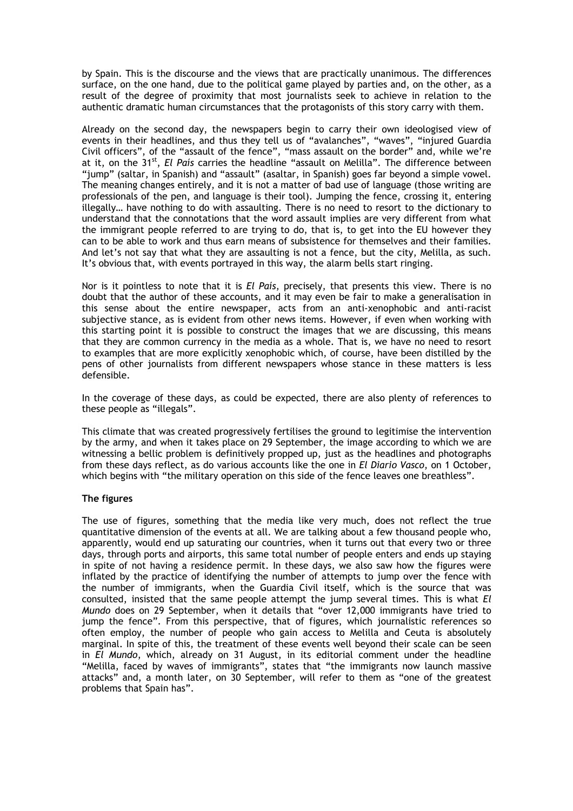by Spain. This is the discourse and the views that are practically unanimous. The differences surface, on the one hand, due to the political game played by parties and, on the other, as a result of the degree of proximity that most journalists seek to achieve in relation to the authentic dramatic human circumstances that the protagonists of this story carry with them.

Already on the second day, the newspapers begin to carry their own ideologised view of events in their headlines, and thus they tell us of "avalanches", "waves", "injured Guardia Civil officers", of the "assault of the fence", "mass assault on the border" and, while we're at it, on the 31<sup>st</sup>, *El País* carries the headline "assault on Melilla". The difference between "jump" (saltar, in Spanish) and "assault" (asaltar, in Spanish) goes far beyond a simple vowel. The meaning changes entirely, and it is not a matter of bad use of language (those writing are professionals of the pen, and language is their tool). Jumping the fence, crossing it, entering illegally… have nothing to do with assaulting. There is no need to resort to the dictionary to understand that the connotations that the word assault implies are very different from what the immigrant people referred to are trying to do, that is, to get into the EU however they can to be able to work and thus earn means of subsistence for themselves and their families. And let's not say that what they are assaulting is not a fence, but the city, Melilla, as such. It's obvious that, with events portrayed in this way, the alarm bells start ringing.

Nor is it pointless to note that it is *El País*, precisely, that presents this view. There is no doubt that the author of these accounts, and it may even be fair to make a generalisation in this sense about the entire newspaper, acts from an anti-xenophobic and anti-racist subjective stance, as is evident from other news items. However, if even when working with this starting point it is possible to construct the images that we are discussing, this means that they are common currency in the media as a whole. That is, we have no need to resort to examples that are more explicitly xenophobic which, of course, have been distilled by the pens of other journalists from different newspapers whose stance in these matters is less defensible.

In the coverage of these days, as could be expected, there are also plenty of references to these people as "illegals".

This climate that was created progressively fertilises the ground to legitimise the intervention by the army, and when it takes place on 29 September, the image according to which we are witnessing a bellic problem is definitively propped up, just as the headlines and photographs from these days reflect, as do various accounts like the one in *El Diario Vasco*, on 1 October, which begins with "the military operation on this side of the fence leaves one breathless".

#### **The figures**

The use of figures, something that the media like very much, does not reflect the true quantitative dimension of the events at all. We are talking about a few thousand people who, apparently, would end up saturating our countries, when it turns out that every two or three days, through ports and airports, this same total number of people enters and ends up staying in spite of not having a residence permit. In these days, we also saw how the figures were inflated by the practice of identifying the number of attempts to jump over the fence with the number of immigrants, when the Guardia Civil itself, which is the source that was consulted, insisted that the same people attempt the jump several times. This is what *El Mundo* does on 29 September, when it details that "over 12,000 immigrants have tried to jump the fence". From this perspective, that of figures, which journalistic references so often employ, the number of people who gain access to Melilla and Ceuta is absolutely marginal. In spite of this, the treatment of these events well beyond their scale can be seen in *El Mundo*, which, already on 31 August, in its editorial comment under the headline "Melilla, faced by waves of immigrants", states that "the immigrants now launch massive attacks" and, a month later, on 30 September, will refer to them as "one of the greatest problems that Spain has".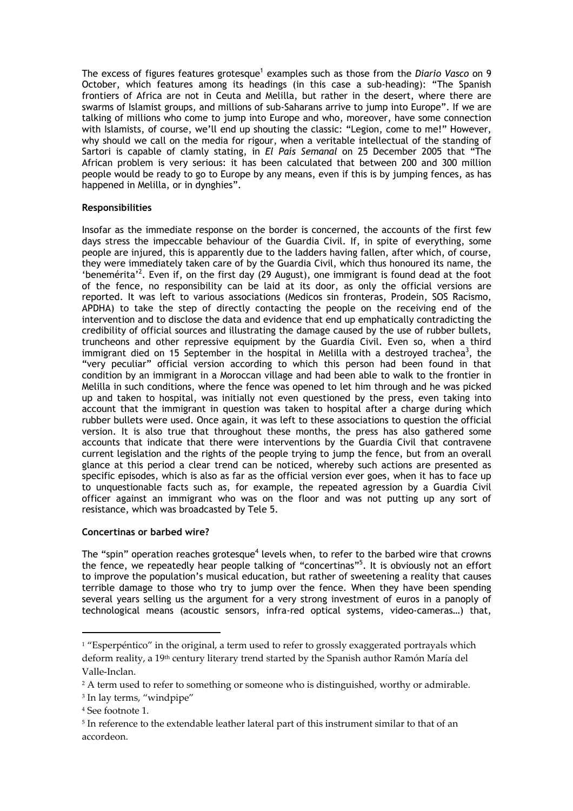The excess of figures features grotesque<sup>1</sup> examples such as those from the *Diario Vasco* on 9 October, which features among its headings (in this case a sub-heading): "The Spanish frontiers of Africa are not in Ceuta and Melilla, but rather in the desert, where there are swarms of Islamist groups, and millions of sub-Saharans arrive to jump into Europe". If we are talking of millions who come to jump into Europe and who, moreover, have some connection with Islamists, of course, we'll end up shouting the classic: "Legion, come to me!" However, why should we call on the media for rigour, when a veritable intellectual of the standing of Sartori is capable of clamly stating, in *El País Semanal* on 25 December 2005 that "The African problem is very serious: it has been calculated that between 200 and 300 million people would be ready to go to Europe by any means, even if this is by jumping fences, as has happened in Melilla, or in dynghies".

#### **Responsibilities**

Insofar as the immediate response on the border is concerned, the accounts of the first few days stress the impeccable behaviour of the Guardia Civil. If, in spite of everything, some people are injured, this is apparently due to the ladders having fallen, after which, of course, they were immediately taken care of by the Guardia Civil, which thus honoured its name, the 'benemérita<sup>2</sup>. Even if, on the first day (29 August), one immigrant is found dead at the foot of the fence, no responsibility can be laid at its door, as only the official versions are reported. It was left to various associations (Medicos sin fronteras, Prodein, SOS Racismo, APDHA) to take the step of directly contacting the people on the receiving end of the intervention and to disclose the data and evidence that end up emphatically contradicting the credibility of official sources and illustrating the damage caused by the use of rubber bullets, truncheons and other repressive equipment by the Guardia Civil. Even so, when a third immigrant died on 15 September in the hospital in Melilla with a destroyed trachea<sup>3</sup>, the "very peculiar" official version according to which this person had been found in that condition by an immigrant in a Moroccan village and had been able to walk to the frontier in Melilla in such conditions, where the fence was opened to let him through and he was picked up and taken to hospital, was initially not even questioned by the press, even taking into account that the immigrant in question was taken to hospital after a charge during which rubber bullets were used. Once again, it was left to these associations to question the official version. It is also true that throughout these months, the press has also gathered some accounts that indicate that there were interventions by the Guardia Civil that contravene current legislation and the rights of the people trying to jump the fence, but from an overall glance at this period a clear trend can be noticed, whereby such actions are presented as specific episodes, which is also as far as the official version ever goes, when it has to face up to unquestionable facts such as, for example, the repeated agression by a Guardia Civil officer against an immigrant who was on the floor and was not putting up any sort of resistance, which was broadcasted by Tele 5.

#### **Concertinas or barbed wire?**

The "spin" operation reaches grotesque<sup>4</sup> levels when, to refer to the barbed wire that crowns the fence, we repeatedly hear people talking of "concertinas"<sup>5</sup>. It is obviously not an effort to improve the population's musical education, but rather of sweetening a reality that causes terrible damage to those who try to jump over the fence. When they have been spending several years selling us the argument for a very strong investment of euros in a panoply of technological means (acoustic sensors, infra-red optical systems, video-cameras…) that,

 $\overline{a}$ 

 $1$  "Esperpéntico" in the original, a term used to refer to grossly exaggerated portrayals which deform reality, a 19<sup>th</sup> century literary trend started by the Spanish author Ramón María del Valle-Inclan.

<sup>&</sup>lt;sup>2</sup> A term used to refer to something or someone who is distinguished, worthy or admirable.

<sup>&</sup>lt;sup>3</sup> In lay terms, "windpipe"

<sup>4</sup> See footnote 1.

<sup>&</sup>lt;sup>5</sup> In reference to the extendable leather lateral part of this instrument similar to that of an accordeon.